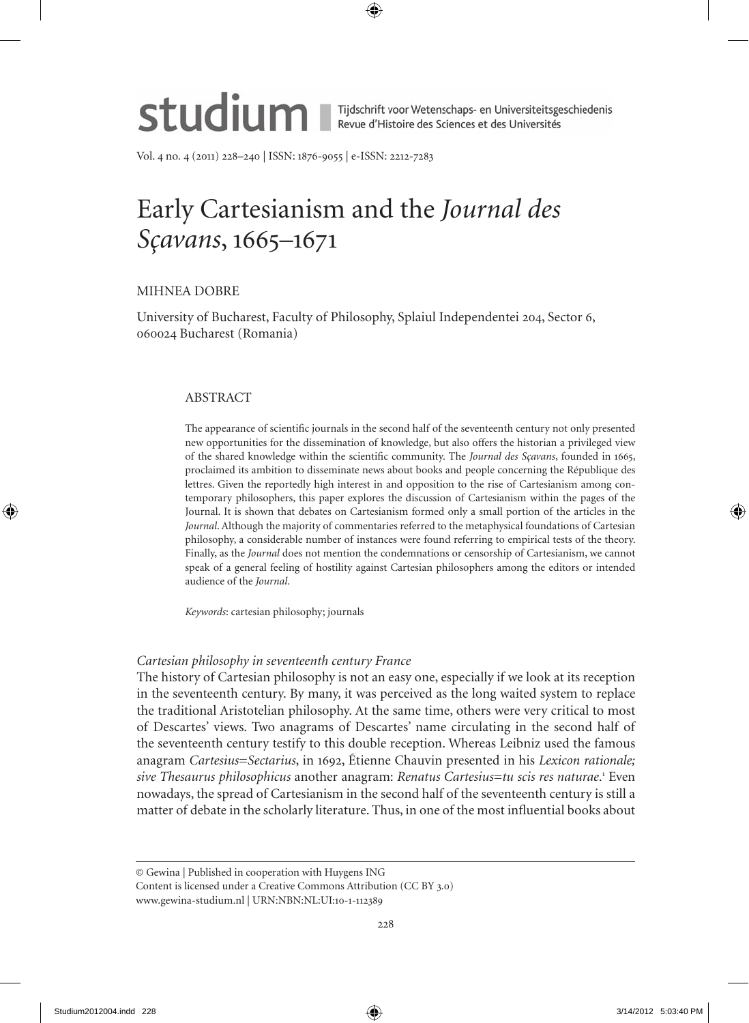

Tijdschrift voor Wetenschaps- en Universiteitsgeschiedenis<br>Revue d'Histoire des Sciences et des Universités

Vol. 4 no. 4 (2011) 228–240 | ISSN: 1876-9055 | e-ISSN: 2212-7283

# Early Cartesianism and the *Journal des Sçavans*, 1665–1671

# MIHNEA DoBRE

University of Bucharest, Faculty of Philosophy, Splaiul Independentei 204, Sector 6, 060024 Bucharest (Romania)

# ABSTRACT

The appearance of scientific journals in the second half of the seventeenth century not only presented new opportunities for the dissemination of knowledge, but also offers the historian a privileged view of the shared knowledge within the scientific community. The *Journal des Sçavans*, founded in 1665, proclaimed its ambition to disseminate news about books and people concerning the République des lettres. Given the reportedly high interest in and opposition to the rise of Cartesianism among contemporary philosophers, this paper explores the discussion of Cartesianism within the pages of the Journal. It is shown that debates on Cartesianism formed only a small portion of the articles in the *Journal*. Although the majority of commentaries referred to the metaphysical foundations of Cartesian philosophy, a considerable number of instances were found referring to empirical tests of the theory. Finally, as the *Journal* does not mention the condemnations or censorship of Cartesianism, we cannot speak of a general feeling of hostility against Cartesian philosophers among the editors or intended audience of the *Journal*.

*Keywords*: cartesian philosophy; journals

# *Cartesian philosophy in seventeenth century France*

The history of Cartesian philosophy is not an easy one, especially if we look at its reception in the seventeenth century. By many, it was perceived as the long waited system to replace the traditional Aristotelian philosophy. At the same time, others were very critical to most of Descartes' views. Two anagrams of Descartes' name circulating in the second half of the seventeenth century testify to this double reception. Whereas Leibniz used the famous anagram *Cartesius*=*Sectarius*, in 1692, Étienne Chauvin presented in his *Lexicon rationale;*  sive Thesaurus philosophicus another anagram: Renatus Cartesius=tu scis res naturae.<sup>1</sup> Even nowadays, the spread of Cartesianism in the second half of the seventeenth century is still a matter of debate in the scholarly literature. Thus, in one of the most influential books about

© Gewina | Published in cooperation with Huygens ING

Content is licensed under a Creative Commons Attribution (CC BY 3.0) www.gewina-studium.nl | URN:NBN:NL:UI:10-1-112389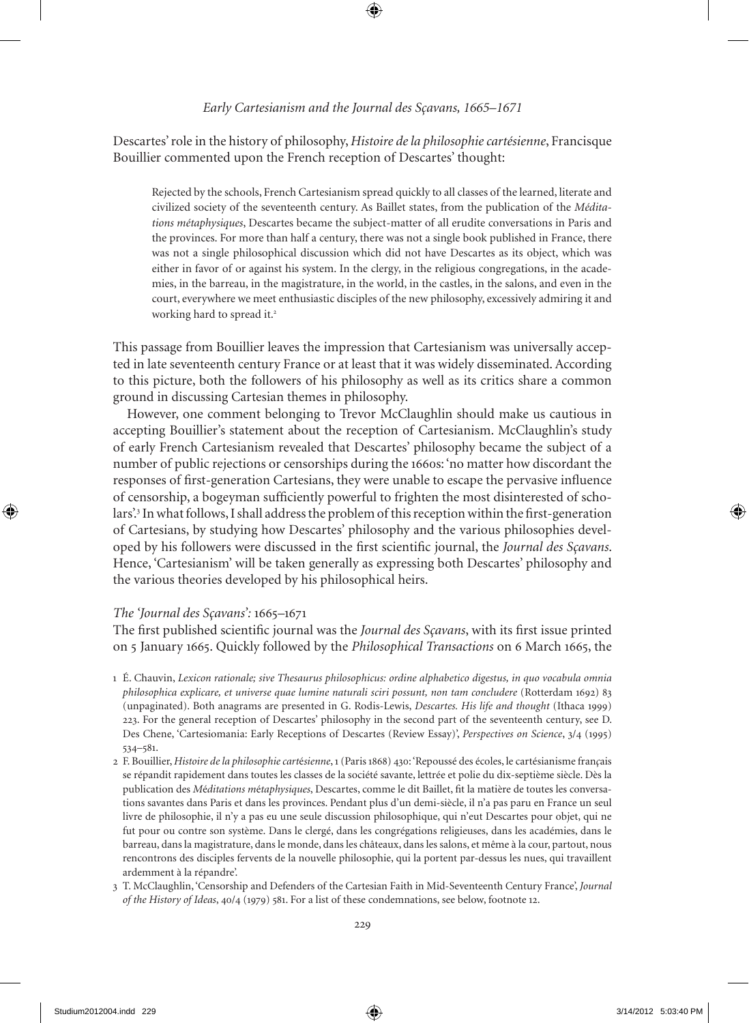Descartes' role in the history of philosophy, *Histoire de la philosophie cartésienne*, Francisque Bouillier commented upon the French reception of Descartes' thought:

Rejected by the schools, French Cartesianism spread quickly to all classes of the learned, literate and civilized society of the seventeenth century. As Baillet states, from the publication of the *Méditations métaphysiques*, Descartes became the subject-matter of all erudite conversations in Paris and the provinces. For more than half a century, there was not a single book published in France, there was not a single philosophical discussion which did not have Descartes as its object, which was either in favor of or against his system. In the clergy, in the religious congregations, in the academies, in the barreau, in the magistrature, in the world, in the castles, in the salons, and even in the court, everywhere we meet enthusiastic disciples of the new philosophy, excessively admiring it and working hard to spread it.<sup>2</sup>

This passage from Bouillier leaves the impression that Cartesianism was universally accepted in late seventeenth century France or at least that it was widely disseminated. According to this picture, both the followers of his philosophy as well as its critics share a common ground in discussing Cartesian themes in philosophy.

However, one comment belonging to Trevor McClaughlin should make us cautious in accepting Bouillier's statement about the reception of Cartesianism. McClaughlin's study of early French Cartesianism revealed that Descartes' philosophy became the subject of a number of public rejections or censorships during the 1660s: 'no matter how discordant the responses of first-generation Cartesians, they were unable to escape the pervasive influence of censorship, a bogeyman sufficiently powerful to frighten the most disinterested of scholars'.<sup>3</sup> In what follows, I shall address the problem of this reception within the first-generation of Cartesians, by studying how Descartes' philosophy and the various philosophies developed by his followers were discussed in the first scientific journal, the *Journal des Sçavans*. Hence, 'Cartesianism' will be taken generally as expressing both Descartes' philosophy and the various theories developed by his philosophical heirs.

# *The 'Journal des Sçavans':* 1665*–*1671

The first published scientific journal was the *Journal des Sçavans*, with its first issue printed on 5 January 1665. Quickly followed by the *Philosophical Transactions* on 6 March 1665, the

- 1 É. Chauvin, *Lexicon rationale; sive Thesaurus philosophicus: ordine alphabetico digestus, in quo vocabula omnia philosophica explicare, et universe quae lumine naturali sciri possunt, non tam concludere* (Rotterdam 1692) 83 (unpaginated). Both anagrams are presented in G. Rodis-Lewis, *Descartes. His life and thought* (Ithaca 1999) 223. For the general reception of Descartes' philosophy in the second part of the seventeenth century, see D. Des Chene, 'Cartesiomania: Early Receptions of Descartes (Review Essay)', *Perspectives on Science*, 3/4 (1995) 534–581.
- 2 F. Bouillier, *Histoire de la philosophie cart*é*sienne*, 1 (Paris 1868) 430: 'Repoussé des écoles, le cartésianisme fran*ç*ais se répandit rapidement dans toutes les classes de la société savante, lettrée et polie du dix-septième siècle. Dès la publication des *M*é*ditations m*é*taphysiques*, Descartes, comme le dit Baillet, fit la matière de toutes les conversations savantes dans Paris et dans les provinces. Pendant plus d'un demi-siècle, il n'a pas paru en France un seul livre de philosophie, il n'y a pas eu une seule discussion philosophique, qui n'eut Descartes pour objet, qui ne fut pour ou contre son système. Dans le clergé, dans les congrégations religieuses, dans les académies, dans le barreau, dans la magistrature, dans le monde, dans les châteaux, dans les salons, et même à la cour, partout, nous rencontrons des disciples fervents de la nouvelle philosophie, qui la portent par-dessus les nues, qui travaillent ardemment à la répandre'.
- 3 T. McClaughlin, 'Censorship and Defenders of the Cartesian Faith in Mid-Seventeenth Century France', *Journal of the History of Ideas*, 40/4 (1979) 581. For a list of these condemnations, see below, footnote 12.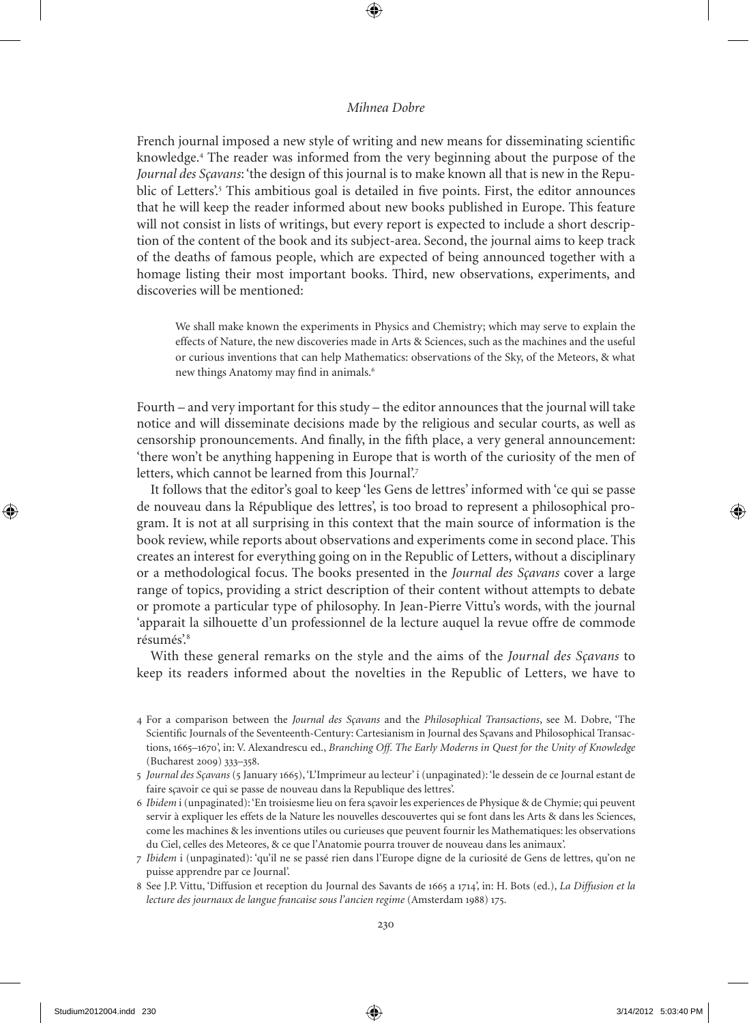French journal imposed a new style of writing and new means for disseminating scientific knowledge.<sup>4</sup> The reader was informed from the very beginning about the purpose of the *Journal des Sçavans*: 'the design of this journal is to make known all that is new in the Republic of Letters'<sup>5</sup> This ambitious goal is detailed in five points. First, the editor announces that he will keep the reader informed about new books published in Europe. This feature will not consist in lists of writings, but every report is expected to include a short description of the content of the book and its subject-area. Second, the journal aims to keep track of the deaths of famous people, which are expected of being announced together with a homage listing their most important books. Third, new observations, experiments, and discoveries will be mentioned:

We shall make known the experiments in Physics and Chemistry; which may serve to explain the effects of Nature, the new discoveries made in Arts & Sciences, such as the machines and the useful or curious inventions that can help Mathematics: observations of the Sky, of the Meteors, & what new things Anatomy may find in animals.<sup>6</sup>

Fourth – and very important for this study – the editor announces that the journal will take notice and will disseminate decisions made by the religious and secular courts, as well as censorship pronouncements. And finally, in the fifth place, a very general announcement: 'there won't be anything happening in Europe that is worth of the curiosity of the men of letters, which cannot be learned from this Journal'.<sup>7</sup>

It follows that the editor's goal to keep 'les Gens de lettres' informed with 'ce qui se passe de nouveau dans la République des lettres', is too broad to represent a philosophical program. It is not at all surprising in this context that the main source of information is the book review, while reports about observations and experiments come in second place. This creates an interest for everything going on in the Republic of Letters, without a disciplinary or a methodological focus. The books presented in the *Journal des Sçavans* cover a large range of topics, providing a strict description of their content without attempts to debate or promote a particular type of philosophy. In Jean-Pierre Vittu's words, with the journal 'apparait la silhouette d'un professionnel de la lecture auquel la revue offre de commode résumés'.<sup>8</sup>

With these general remarks on the style and the aims of the *Journal des Sçavans* to keep its readers informed about the novelties in the Republic of Letters, we have to

<sup>4</sup> For a comparison between the *Journal des Sçavans* and the *Philosophical Transactions*, see M. Dobre, 'The Scientific Journals of the Seventeenth-Century: Cartesianism in Journal des S*ç*avans and Philosophical Transactions, 1665–1670', in: V. Alexandrescu ed., *Branching Off. The Early Moderns in Quest for the Unity of Knowledge* (Bucharest 2009) 333–358.

<sup>5</sup> *Journal des Sçavans* (5 January 1665), 'L'Imprimeur au lecteur' i (unpaginated): 'le dessein de ce Journal estant de faire s*ç*avoir ce qui se passe de nouveau dans la Republique des lettres'.

<sup>6</sup> *Ibidem* i (unpaginated): 'En troisiesme lieu on fera s*ç*avoir les experiences de Physique & de Chymie; qui peuvent servir à expliquer les effets de la Nature les nouvelles descouvertes qui se font dans les Arts & dans les Sciences, come les machines & les inventions utiles ou curieuses que peuvent fournir les Mathematiques: les observations du Ciel, celles des Meteores, & ce que l'Anatomie pourra trouver de nouveau dans les animaux'.

<sup>7</sup> *Ibidem* i (unpaginated): 'qu'il ne se passé rien dans l'Europe digne de la curiosité de Gens de lettres, qu'on ne puisse apprendre par ce Journal'.

<sup>8</sup> See J.P. Vittu, 'Diffusion et reception du Journal des Savants de 1665 a 1714', in: H. Bots (ed.), *La Diffusion et la lecture des journaux de langue francaise sous l'ancien regime* (Amsterdam 1988) 175.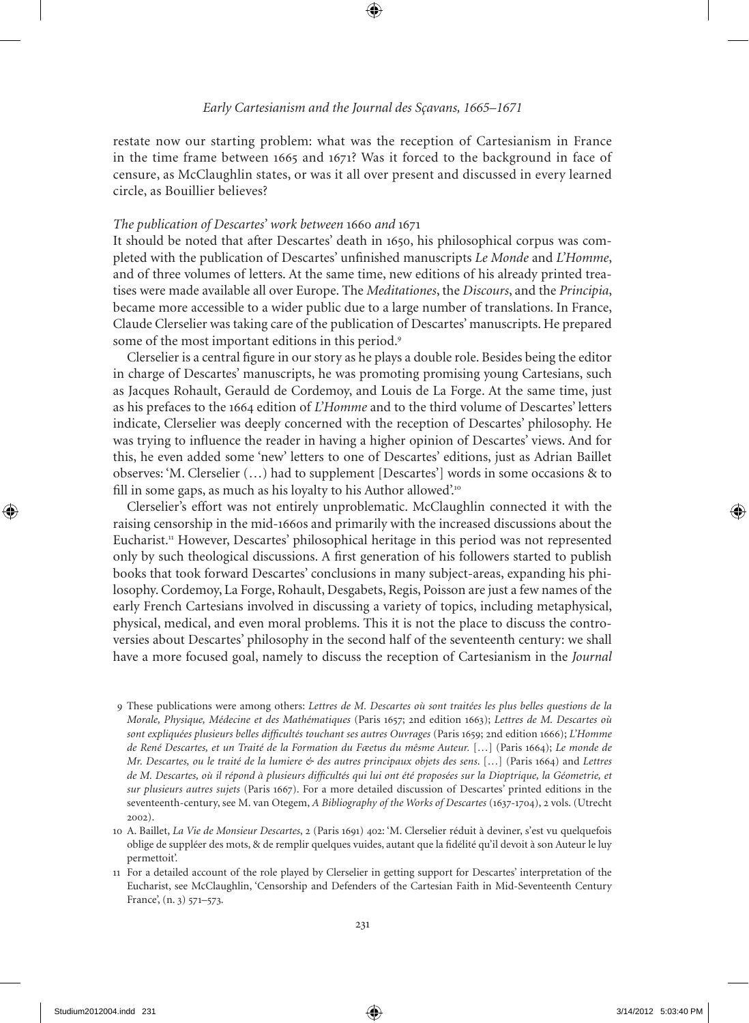restate now our starting problem: what was the reception of Cartesianism in France in the time frame between 1665 and 1671? Was it forced to the background in face of censure, as McClaughlin states, or was it all over present and discussed in every learned circle, as Bouillier believes?

## *The publication of Descartes' work between* 1660 *and* 1671

It should be noted that after Descartes' death in 1650, his philosophical corpus was completed with the publication of Descartes' unfinished manuscripts *Le Monde* and *L'Homme*, and of three volumes of letters. At the same time, new editions of his already printed treatises were made available all over Europe. The *Meditationes*, the *Discours*, and the *Principia*, became more accessible to a wider public due to a large number of translations. In France, Claude Clerselier was taking care of the publication of Descartes' manuscripts. He prepared some of the most important editions in this period.<sup>9</sup>

Clerselier is a central figure in our story as he plays a double role. Besides being the editor in charge of Descartes' manuscripts, he was promoting promising young Cartesians, such as Jacques Rohault, Gerauld de Cordemoy, and Louis de La Forge. At the same time, just as his prefaces to the 1664 edition of *L'Homme* and to the third volume of Descartes' letters indicate, Clerselier was deeply concerned with the reception of Descartes' philosophy. He was trying to influence the reader in having a higher opinion of Descartes' views. And for this, he even added some 'new' letters to one of Descartes' editions, just as Adrian Baillet observes: 'M. Clerselier (…) had to supplement [Descartes'] words in some occasions & to fill in some gaps, as much as his loyalty to his Author allowed'.<sup>10</sup>

Clerselier's effort was not entirely unproblematic. McClaughlin connected it with the raising censorship in the mid-1660s and primarily with the increased discussions about the Eucharist.<sup>11</sup> However, Descartes' philosophical heritage in this period was not represented only by such theological discussions. A first generation of his followers started to publish books that took forward Descartes' conclusions in many subject-areas, expanding his philosophy. Cordemoy, La Forge, Rohault, Desgabets, Regis, Poisson are just a few names of the early French Cartesians involved in discussing a variety of topics, including metaphysical, physical, medical, and even moral problems. This it is not the place to discuss the controversies about Descartes' philosophy in the second half of the seventeenth century: we shall have a more focused goal, namely to discuss the reception of Cartesianism in the *Journal* 

<sup>9</sup> These publications were among others: *Lettres de M. Descartes où sont traitées les plus belles questions de la Morale, Physique, Médecine et des Mathématiques* (Paris 1657; 2nd edition 1663); *Lettres de M. Descartes où sont expliquées plusieurs belles difficultés touchant ses autres Ouvrages* (Paris 1659; 2nd edition 1666); *L'Homme de René Descartes, et un Traité de la Formation du Fæetus du mêsme Auteur.* […] (Paris 1664); *Le monde de Mr. Descartes, ou le traité de la lumiere & des autres principaux objets des sens*. […] (Paris 1664) and *Lettres de M. Descartes, où il répond à plusieurs difficultés qui lui ont été proposées sur la Dioptrique, la Géometrie, et sur plusieurs autres sujets* (Paris 1667). For a more detailed discussion of Descartes' printed editions in the seventeenth-century, see M. van otegem, *A Bibliography of the Works of Descartes* (1637-1704), 2 vols. (Utrecht 2002).

<sup>10</sup> A. Baillet, *La Vie de Monsieur Descartes*, 2 (Paris 1691) 402: 'M. Clerselier réduit à deviner, s'est vu quelquefois oblige de suppléer des mots, & de remplir quelques vuides, autant que la fidélité qu'il devoit à son Auteur le luy permettoit'.

<sup>11</sup> For a detailed account of the role played by Clerselier in getting support for Descartes' interpretation of the Eucharist, see McClaughlin, 'Censorship and Defenders of the Cartesian Faith in Mid-Seventeenth Century France', (n. 3) 571–573.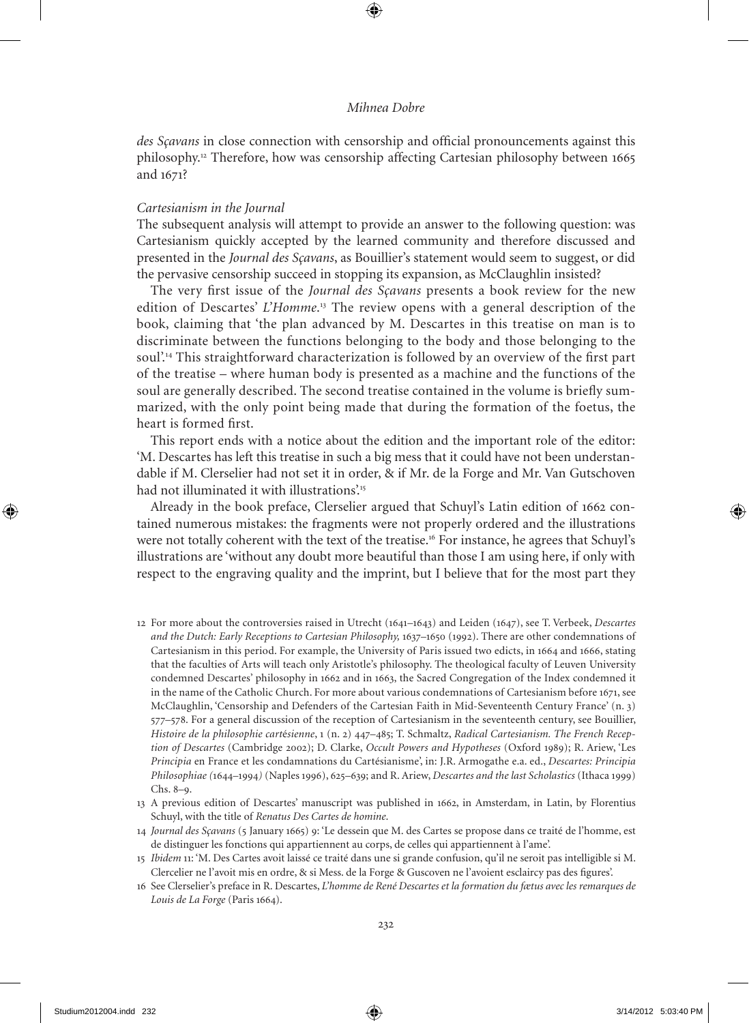*des Sçavans* in close connection with censorship and official pronouncements against this philosophy.<sup>12</sup> Therefore, how was censorship affecting Cartesian philosophy between 1665 and 1671?

#### *Cartesianism in the Journal*

The subsequent analysis will attempt to provide an answer to the following question: was Cartesianism quickly accepted by the learned community and therefore discussed and presented in the *Journal des Sçavans*, as Bouillier's statement would seem to suggest, or did the pervasive censorship succeed in stopping its expansion, as McClaughlin insisted?

The very first issue of the *Journal des Sçavans* presents a book review for the new edition of Descartes' *L'Homme*. <sup>13</sup> The review opens with a general description of the book, claiming that 'the plan advanced by M. Descartes in this treatise on man is to discriminate between the functions belonging to the body and those belonging to the soul'.<sup>14</sup> This straightforward characterization is followed by an overview of the first part of the treatise – where human body is presented as a machine and the functions of the soul are generally described. The second treatise contained in the volume is briefly summarized, with the only point being made that during the formation of the foetus, the heart is formed first.

This report ends with a notice about the edition and the important role of the editor: 'M. Descartes has left this treatise in such a big mess that it could have not been understandable if M. Clerselier had not set it in order, & if Mr. de la Forge and Mr. Van Gutschoven had not illuminated it with illustrations'.<sup>15</sup>

Already in the book preface, Clerselier argued that Schuyl's Latin edition of 1662 contained numerous mistakes: the fragments were not properly ordered and the illustrations were not totally coherent with the text of the treatise.<sup>16</sup> For instance, he agrees that Schuyl's illustrations are 'without any doubt more beautiful than those I am using here, if only with respect to the engraving quality and the imprint, but I believe that for the most part they

- 12 For more about the controversies raised in Utrecht (1641–1643) and Leiden (1647), see T. Verbeek, *Descartes and the Dutch: Early Receptions to Cartesian Philosophy, 1637–1650* (1992). There are other condemnations of Cartesianism in this period. For example, the University of Paris issued two edicts, in 1664 and 1666, stating that the faculties of Arts will teach only Aristotle's philosophy. The theological faculty of Leuven University condemned Descartes' philosophy in 1662 and in 1663, the Sacred Congregation of the Index condemned it in the name of the Catholic Church. For more about various condemnations of Cartesianism before 1671, see McClaughlin, 'Censorship and Defenders of the Cartesian Faith in Mid-Seventeenth Century France' (n. 3) 577–578. For a general discussion of the reception of Cartesianism in the seventeenth century, see Bouillier, *Histoire de la philosophie cart*é*sienne*, 1 (n. 2) 447–485; T. Schmaltz, *Radical Cartesianism. The French Reception of Descartes* (Cambridge 2002); D. Clarke, *Occult Powers and Hypotheses* (oxford 1989); R. Ariew, 'Les *Principia* en France et les condamnations du Cartésianisme', in: J.R. Armogathe e.a. ed., *Descartes: Principia Philosophiae (*1644*–*1994*)* (Naples 1996), 625–639; and R. Ariew, *Descartes and the last Scholastics* (Ithaca 1999) Chs. 8–9.
- 13 A previous edition of Descartes' manuscript was published in 1662, in Amsterdam, in Latin, by Florentius Schuyl, with the title of *Renatus Des Cartes de homine*.
- 14 *Journal des Sçavans* (5 January 1665) 9: 'Le dessein que M. des Cartes se propose dans ce traité de l'homme, est de distinguer les fonctions qui appartiennent au corps, de celles qui appartiennent à l'ame'.
- 15 *Ibidem* 11: 'M. Des Cartes avoit laissé ce traité dans une si grande confusion, qu'il ne seroit pas intelligible si M. Clercelier ne l'avoit mis en ordre, & si Mess. de la Forge & Guscoven ne l'avoient esclaircy pas des figures'.
- 16 See Clerselier's preface in R. Descartes, *L'homme de René Descartes et la formation du fætus avec les remarques de Louis de La Forge* (Paris 1664).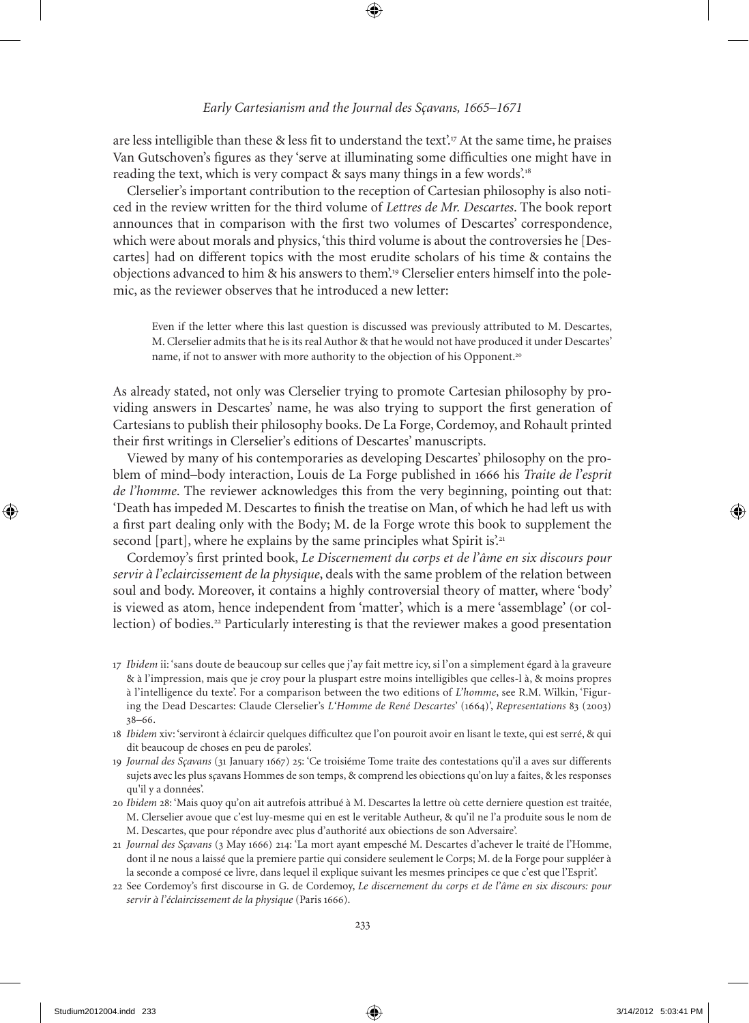## *Early Cartesianism and the Journal des Sçavans, 1665–1671*

are less intelligible than these & less fit to understand the text'.<sup>17</sup> At the same time, he praises Van Gutschoven's figures as they 'serve at illuminating some difficulties one might have in reading the text, which is very compact & says many things in a few words.<sup>18</sup>

Clerselier's important contribution to the reception of Cartesian philosophy is also noticed in the review written for the third volume of *Lettres de Mr. Descartes*. The book report announces that in comparison with the first two volumes of Descartes' correspondence, which were about morals and physics, 'this third volume is about the controversies he [Descartes] had on different topics with the most erudite scholars of his time & contains the objections advanced to him & his answers to them'.19 Clerselier enters himself into the polemic, as the reviewer observes that he introduced a new letter:

Even if the letter where this last question is discussed was previously attributed to M. Descartes, M. Clerselier admits that he is its real Author & that he would not have produced it under Descartes' name, if not to answer with more authority to the objection of his Opponent.<sup>20</sup>

As already stated, not only was Clerselier trying to promote Cartesian philosophy by providing answers in Descartes' name, he was also trying to support the first generation of Cartesians to publish their philosophy books. De La Forge, Cordemoy, and Rohault printed their first writings in Clerselier's editions of Descartes' manuscripts.

Viewed by many of his contemporaries as developing Descartes' philosophy on the problem of mind–body interaction, Louis de La Forge published in 1666 his *Traite de l'esprit de l'homme*. The reviewer acknowledges this from the very beginning, pointing out that: 'Death has impeded M. Descartes to finish the treatise on Man, of which he had left us with a first part dealing only with the Body; M. de la Forge wrote this book to supplement the second [part], where he explains by the same principles what Spirit is'.<sup>21</sup>

Cordemoy's first printed book, *Le Discernement du corps et de l'âme en six discours pour servir à l'eclaircissement de la physique*, deals with the same problem of the relation between soul and body. Moreover, it contains a highly controversial theory of matter, where 'body' is viewed as atom, hence independent from 'matter', which is a mere 'assemblage' (or collection) of bodies.<sup>22</sup> Particularly interesting is that the reviewer makes a good presentation

- 17 *Ibidem* ii: 'sans doute de beaucoup sur celles que j'ay fait mettre icy, si l'on a simplement égard à la graveure & à l'impression, mais que je croy pour la pluspart estre moins intelligibles que celles-l à, & moins propres à l'intelligence du texte'. For a comparison between the two editions of *L'homme*, see R.M. Wilkin, 'Figuring the Dead Descartes: Claude Clerselier's *L'Homme de René Descartes*' (1664)', *Representations* 83 (2003) 38–66.
- 18 *Ibidem* xiv: 'serviront à éclaircir quelques difficultez que l'on pouroit avoir en lisant le texte, qui est serré, & qui dit beaucoup de choses en peu de paroles'.
- 19 *Journal des Sçavans* (31 January 1667) 25: 'Ce troisiéme Tome traite des contestations qu'il a aves sur differents sujets avec les plus s*ç*avans Hommes de son temps, & comprend les obiections qu'on luy a faites, & les responses qu'il y a données'.
- 20 *Ibidem* 28: 'Mais quoy qu'on ait autrefois attribué à M. Descartes la lettre où cette derniere question est traitée, M. Clerselier avoue que c'est luy-mesme qui en est le veritable Autheur, & qu'il ne l'a produite sous le nom de M. Descartes, que pour répondre avec plus d'authorité aux obiections de son Adversaire'.
- 21 *Journal des Sçavans* (3 May 1666) 214: 'La mort ayant empesché M. Descartes d'achever le traité de l'Homme, dont il ne nous a laissé que la premiere partie qui considere seulement le Corps; M. de la Forge pour suppléer à la seconde a composé ce livre, dans lequel il explique suivant les mesmes principes ce que c'est que l'Esprit'.
- 22 See Cordemoy's first discourse in G. de Cordemoy, *Le discernement du corps et de l'âme en six discours: pour servir à l'éclaircissement de la physique* (Paris 1666).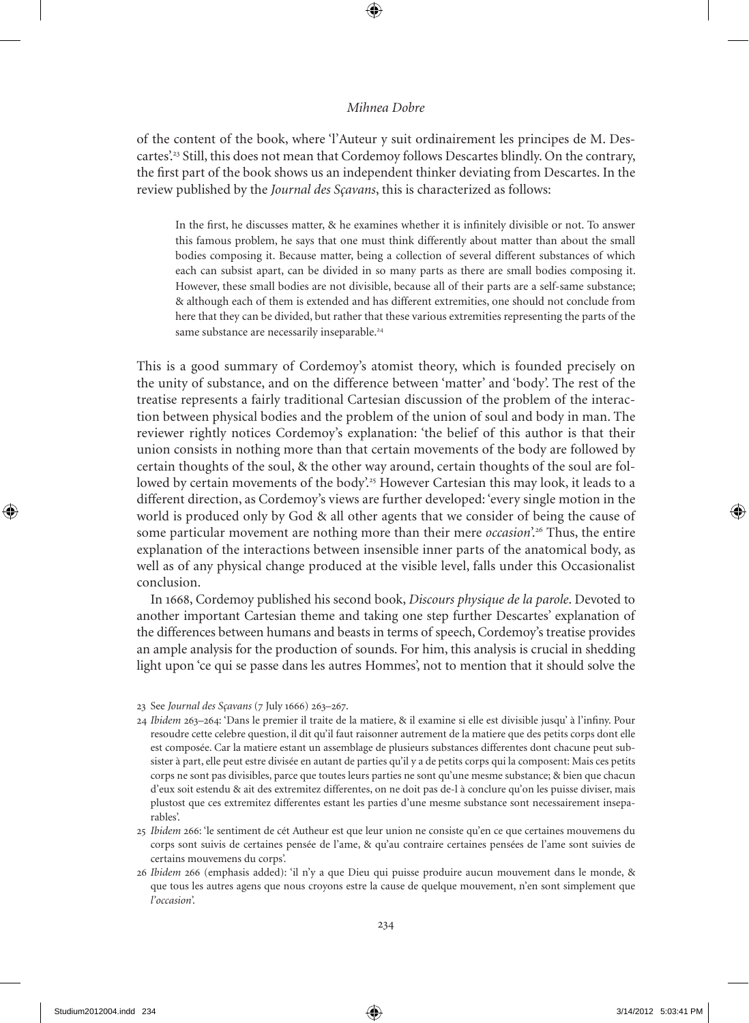of the content of the book, where 'l'Auteur y suit ordinairement les principes de M. Descartes'.<sup>23</sup> Still, this does not mean that Cordemoy follows Descartes blindly. On the contrary, the first part of the book shows us an independent thinker deviating from Descartes. In the review published by the *Journal des Sçavans*, this is characterized as follows:

In the first, he discusses matter, & he examines whether it is infinitely divisible or not. To answer this famous problem, he says that one must think differently about matter than about the small bodies composing it. Because matter, being a collection of several different substances of which each can subsist apart, can be divided in so many parts as there are small bodies composing it. However, these small bodies are not divisible, because all of their parts are a self-same substance; & although each of them is extended and has different extremities, one should not conclude from here that they can be divided, but rather that these various extremities representing the parts of the same substance are necessarily inseparable.<sup>24</sup>

This is a good summary of Cordemoy's atomist theory, which is founded precisely on the unity of substance, and on the difference between 'matter' and 'body'. The rest of the treatise represents a fairly traditional Cartesian discussion of the problem of the interaction between physical bodies and the problem of the union of soul and body in man. The reviewer rightly notices Cordemoy's explanation: 'the belief of this author is that their union consists in nothing more than that certain movements of the body are followed by certain thoughts of the soul, & the other way around, certain thoughts of the soul are followed by certain movements of the body'.<sup>25</sup> However Cartesian this may look, it leads to a different direction, as Cordemoy's views are further developed: 'every single motion in the world is produced only by God & all other agents that we consider of being the cause of some particular movement are nothing more than their mere *occasion*'.<sup>26</sup> Thus, the entire explanation of the interactions between insensible inner parts of the anatomical body, as well as of any physical change produced at the visible level, falls under this occasionalist conclusion.

In 1668, Cordemoy published his second book, *Discours physique de la parole*. Devoted to another important Cartesian theme and taking one step further Descartes' explanation of the differences between humans and beasts in terms of speech, Cordemoy's treatise provides an ample analysis for the production of sounds. For him, this analysis is crucial in shedding light upon 'ce qui se passe dans les autres Hommes', not to mention that it should solve the

- 24 *Ibidem* 263–264: 'Dans le premier il traite de la matiere, & il examine si elle est divisible jusqu' à l'infiny. Pour resoudre cette celebre question, il dit qu'il faut raisonner autrement de la matiere que des petits corps dont elle est composée. Car la matiere estant un assemblage de plusieurs substances differentes dont chacune peut subsister à part, elle peut estre divisée en autant de parties qu'il y a de petits corps qui la composent: Mais ces petits corps ne sont pas divisibles, parce que toutes leurs parties ne sont qu'une mesme substance; & bien que chacun d'eux soit estendu & ait des extremitez differentes, on ne doit pas de-l à conclure qu'on les puisse diviser, mais plustost que ces extremitez differentes estant les parties d'une mesme substance sont necessairement inseparables'.
- 25 *Ibidem* 266: 'le sentiment de cét Autheur est que leur union ne consiste qu'en ce que certaines mouvemens du corps sont suivis de certaines pensée de l'ame, & qu'au contraire certaines pensées de l'ame sont suivies de certains mouvemens du corps'.
- 26 *Ibidem* 266 (emphasis added): 'il n'y a que Dieu qui puisse produire aucun mouvement dans le monde, & que tous les autres agens que nous croyons estre la cause de quelque mouvement, n'en sont simplement que *l'occasion*'.

<sup>23</sup> See *Journal des Sçavans* (7 July 1666) 263–267.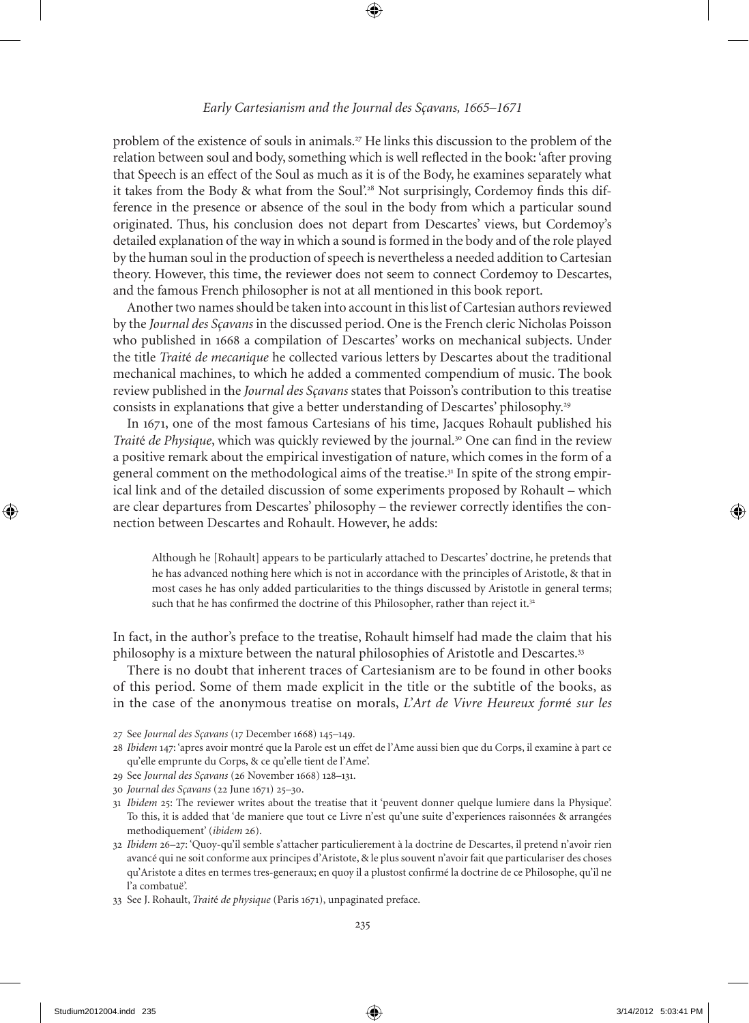## *Early Cartesianism and the Journal des Sçavans, 1665–1671*

problem of the existence of souls in animals.<sup>27</sup> He links this discussion to the problem of the relation between soul and body, something which is well reflected in the book: 'after proving that Speech is an effect of the Soul as much as it is of the Body, he examines separately what it takes from the Body & what from the Soul'.<sup>28</sup> Not surprisingly, Cordemoy finds this difference in the presence or absence of the soul in the body from which a particular sound originated. Thus, his conclusion does not depart from Descartes' views, but Cordemoy's detailed explanation of the way in which a sound is formed in the body and of the role played by the human soul in the production of speech is nevertheless a needed addition to Cartesian theory. However, this time, the reviewer does not seem to connect Cordemoy to Descartes, and the famous French philosopher is not at all mentioned in this book report.

Another two names should be taken into account in this list of Cartesian authors review ed by the *Journal des Sçavans* in the discussed period. one is the French cleric Nicholas Poisson who published in 1668 a compilation of Descartes' works on mechanical subjects. Under the title *Trait*é *de mecanique* he collected various letters by Descartes about the traditional mechanical machines, to which he added a commented compendium of music. The book review published in the *Journal des Sçavans* states that Poisson's contribution to this treatise consists in explanations that give a better understanding of Descartes' philosophy.<sup>29</sup>

In 1671, one of the most famous Cartesians of his time, Jacques Rohault published his *Traité de Physique*, which was quickly reviewed by the journal.<sup>30</sup> One can find in the review a positive remark about the empirical investigation of nature, which comes in the form of a general comment on the methodological aims of the treatise.31 In spite of the strong empirical link and of the detailed discussion of some experiments proposed by Rohault – which are clear departures from Descartes' philosophy – the reviewer correctly identifies the connection between Descartes and Rohault. However, he adds:

Although he [Rohault] appears to be particularly attached to Descartes' doctrine, he pretends that he has advanced nothing here which is not in accordance with the principles of Aristotle, & that in most cases he has only added particularities to the things discussed by Aristotle in general terms; such that he has confirmed the doctrine of this Philosopher, rather than reject it.<sup>32</sup>

In fact, in the author's preface to the treatise, Rohault himself had made the claim that his philosophy is a mixture between the natural philosophies of Aristotle and Descartes.<sup>33</sup>

There is no doubt that inherent traces of Cartesianism are to be found in other books of this period. Some of them made explicit in the title or the subtitle of the books, as in the case of the anonymous treatise on morals, *L'Art de Vivre Heureux form*é *sur les* 

- 27 See *Journal des Sçavans* (17 December 1668) 145–149.
- 28 *Ibidem* 147: 'apres avoir montré que la Parole est un effet de l'Ame aussi bien que du Corps, il examine à part ce qu'elle emprunte du Corps, & ce qu'elle tient de l'Ame'.
- 29 See *Journal des Sçavans* (26 November 1668) 128–131.
- 30 *Journal des Sçavans* (22 June 1671) 25–30.
- 31 *Ibidem* 25: The reviewer writes about the treatise that it 'peuvent donner quelque lumiere dans la Physique'. To this, it is added that 'de maniere que tout ce Livre n'est qu'une suite d'experiences raisonnées & arrangées methodiquement' (*ibidem* 26).
- 32 *Ibidem* 26–27: 'Quoy-qu'il semble s'attacher particulierement à la doctrine de Descartes, il pretend n'avoir rien avancé qui ne soit conforme aux principes d'Aristote, & le plus souvent n'avoir fait que particulariser des choses qu'Aristote a dites en termes tres-generaux; en quoy il a plustost confirmé la doctrine de ce Philosophe, qu'il ne l'a combatuë'.
- 33 See J. Rohault, *Trait*é *de physique* (Paris 1671), unpaginated preface.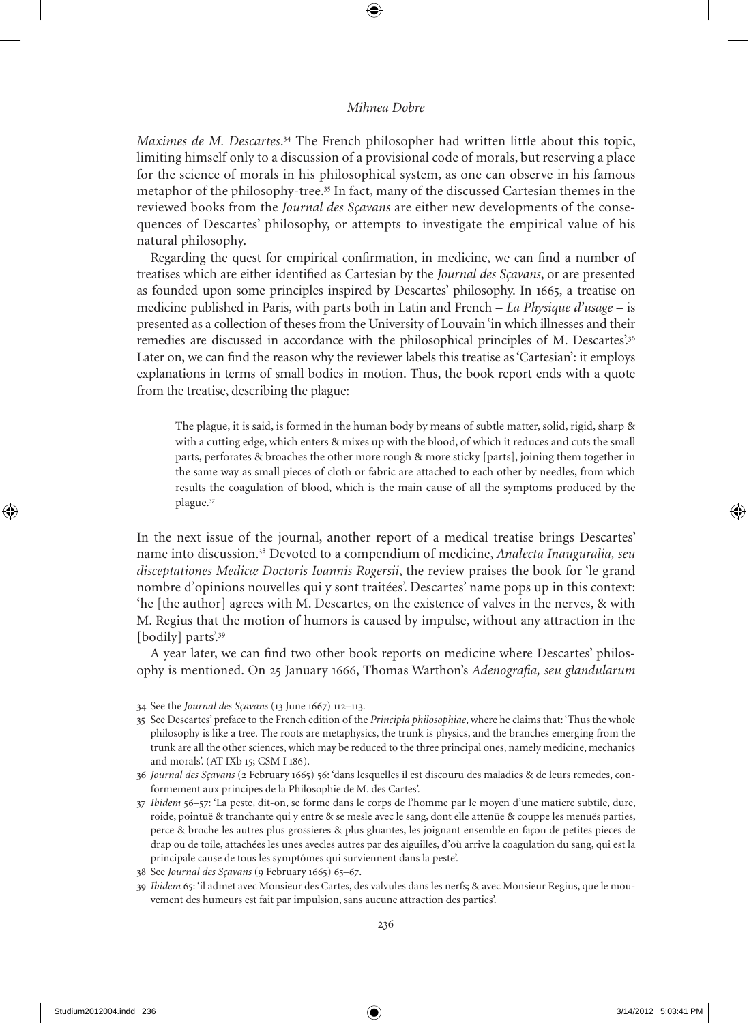*Maximes de M. Descartes*. <sup>34</sup> The French philosopher had written little about this topic, limiting himself only to a discussion of a provisional code of morals, but reserving a place for the science of morals in his philosophical system, as one can observe in his famous metaphor of the philosophy-tree.<sup>35</sup> In fact, many of the discussed Cartesian themes in the reviewed books from the *Journal des Sçavans* are either new developments of the consequences of Descartes' philosophy, or attempts to investigate the empirical value of his natural philosophy.

Regarding the quest for empirical confirmation, in medicine, we can find a number of treatises which are either identified as Cartesian by the *Journal des Sçavans*, or are presented as founded upon some principles inspired by Descartes' philosophy. In 1665, a treatise on medicine published in Paris, with parts both in Latin and French – *La Physique d'usage* – is presented as a collection of theses from the University of Louvain 'in which illnesses and their remedies are discussed in accordance with the philosophical principles of M. Descartes'.<sup>36</sup> Later on, we can find the reason why the reviewer labels this treatise as 'Cartesian': it employs explanations in terms of small bodies in motion. Thus, the book report ends with a quote from the treatise, describing the plague:

The plague, it is said, is formed in the human body by means of subtle matter, solid, rigid, sharp & with a cutting edge, which enters & mixes up with the blood, of which it reduces and cuts the small parts, perforates & broaches the other more rough & more sticky [parts], joining them together in the same way as small pieces of cloth or fabric are attached to each other by needles, from which results the coagulation of blood, which is the main cause of all the symptoms produced by the plague.<sup>37</sup>

In the next issue of the journal, another report of a medical treatise brings Descartes' name into discussion.<sup>38</sup> Devoted to a compendium of medicine, *Analecta Inauguralia, seu disceptationes Medicæ Doctoris Ioannis Rogersii*, the review praises the book for 'le grand nombre d'opinions nouvelles qui y sont traitées'. Descartes' name pops up in this context: 'he [the author] agrees with M. Descartes, on the existence of valves in the nerves, & with M. Regius that the motion of humors is caused by impulse, without any attraction in the [bodily] parts'.<sup>39</sup>

A year later, we can find two other book reports on medicine where Descartes' philosophy is mentioned. on 25 January 1666, Thomas Warthon's *Adenografia, seu glandularum* 

<sup>34</sup> See the *Journal des Sçavans* (13 June 1667) 112–113.

<sup>35</sup> See Descartes' preface to the French edition of the *Principia philosophiae*, where he claims that: 'Thus the whole philosophy is like a tree. The roots are metaphysics, the trunk is physics, and the branches emerging from the trunk are all the other sciences, which may be reduced to the three principal ones, namely medicine, mechanics and morals'. (AT IXb 15; CSM I 186).

<sup>36</sup> *Journal des Sçavans* (2 February 1665) 56: 'dans lesquelles il est discouru des maladies & de leurs remedes, conformement aux principes de la Philosophie de M. des Cartes'.

<sup>37</sup> *Ibidem* 56–57: 'La peste, dit-on, se forme dans le corps de l'homme par le moyen d'une matiere subtile, dure, roide, pointuë & tranchante qui y entre & se mesle avec le sang, dont elle attenüe & couppe les menuës parties, perce & broche les autres plus grossieres & plus gluantes, les joignant ensemble en fa*ç*on de petites pieces de drap ou de toile, attachées les unes avecles autres par des aiguilles, d'où arrive la coagulation du sang, qui est la principale cause de tous les symptômes qui surviennent dans la peste'.

<sup>38</sup> See *Journal des Sçavans* (9 February 1665) 65–67.

<sup>39</sup> *Ibidem* 65: 'il admet avec Monsieur des Cartes, des valvules dans les nerfs; & avec Monsieur Regius, que le mouvement des humeurs est fait par impulsion, sans aucune attraction des parties'.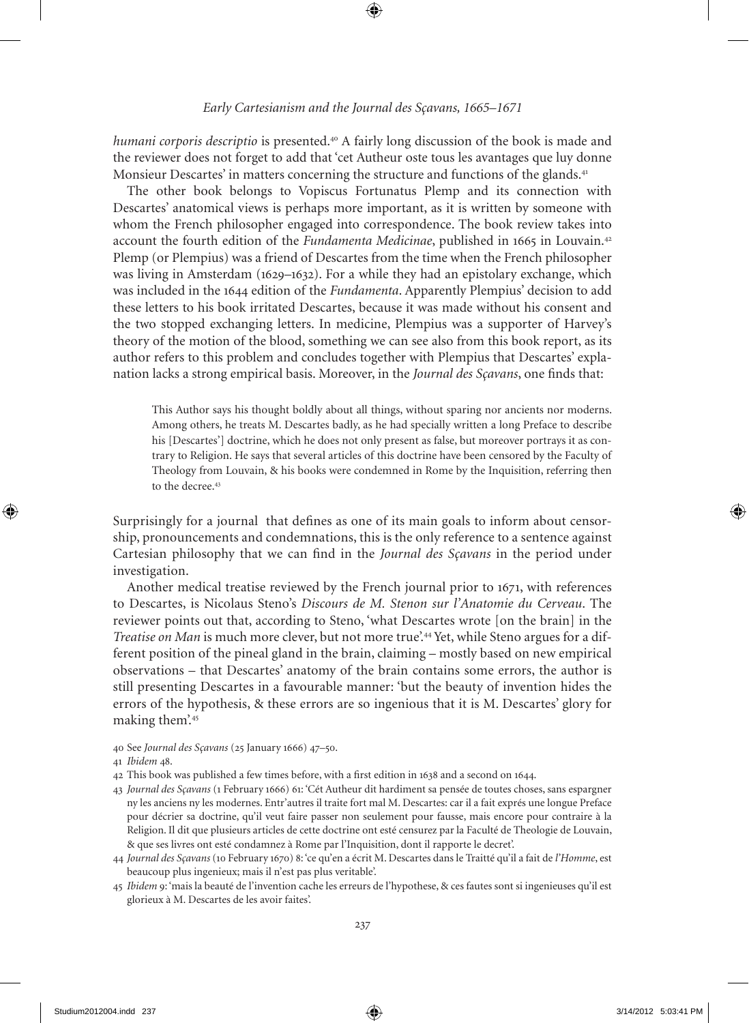*humani corporis descriptio* is presented.<sup>40</sup> A fairly long discussion of the book is made and the reviewer does not forget to add that 'cet Autheur oste tous les avantages que luy donne Monsieur Descartes' in matters concerning the structure and functions of the glands.<sup>41</sup>

The other book belongs to Vopiscus Fortunatus Plemp and its connection with Descartes' anatomical views is perhaps more important, as it is written by someone with whom the French philosopher engaged into correspondence. The book review takes into account the fourth edition of the *Fundamenta Medicinae*, published in 1665 in Louvain.<sup>42</sup> Plemp (or Plempius) was a friend of Descartes from the time when the French philosopher was living in Amsterdam (1629–1632). For a while they had an epistolary exchange, which was included in the 1644 edition of the *Fundamenta*. Apparently Plempius' decision to add these letters to his book irritated Descartes, because it was made without his consent and the two stopped exchanging letters. In medicine, Plempius was a supporter of Harvey's theory of the motion of the blood, something we can see also from this book report, as its author refers to this problem and concludes together with Plempius that Descartes' explanation lacks a strong empirical basis. Moreover, in the *Journal des Sçavans*, one finds that:

This Author says his thought boldly about all things, without sparing nor ancients nor moderns. Among others, he treats M. Descartes badly, as he had specially written a long Preface to describe his [Descartes'] doctrine, which he does not only present as false, but moreover portrays it as contrary to Religion. He says that several articles of this doctrine have been censored by the Faculty of Theology from Louvain, & his books were condemned in Rome by the Inquisition, referring then to the decree.<sup>43</sup>

Surprisingly for a journal that defines as one of its main goals to inform about censorship, pronouncements and condemnations, this is the only reference to a sentence against Cartesian philosophy that we can find in the *Journal des Sçavans* in the period under investigation.

Another medical treatise reviewed by the French journal prior to 1671, with references to Descartes, is Nicolaus Steno's *Discours de M. Stenon sur l'Anatomie du Cerveau*. The reviewer points out that, according to Steno, 'what Descartes wrote [on the brain] in the *Treatise on Man* is much more clever, but not more true'.44 Yet, while Steno argues for a different position of the pineal gland in the brain, claiming – mostly based on new empirical observations – that Descartes' anatomy of the brain contains some errors, the author is still presenting Descartes in a favourable manner: 'but the beauty of invention hides the errors of the hypothesis, & these errors are so ingenious that it is M. Descartes' glory for making them'.<sup>45</sup>

40 See *Journal des Sçavans* (25 January 1666) 47–50.

- 42 This book was published a few times before, with a first edition in 1638 and a second on 1644.
- 43 *Journal des Sçavans* (1 February 1666) 61: 'Cét Autheur dit hardiment sa pensée de toutes choses, sans espargner ny les anciens ny les modernes. Entr'autres il traite fort mal M. Descartes: car il a fait exprés une longue Preface pour décrier sa doctrine, qu'il veut faire passer non seulement pour fausse, mais encore pour contraire à la Religion. Il dit que plusieurs articles de cette doctrine ont esté censurez par la Faculté de Theologie de Louvain, & que ses livres ont esté condamnez à Rome par l'Inquisition, dont il rapporte le decret'.
- 44 *Journal des Sçavans* (10 February 1670) 8: 'ce qu'en a écrit M. Descartes dans le Traitté qu'il a fait de *l'Homme*, est beaucoup plus ingenieux; mais il n'est pas plus veritable'.
- 45 *Ibidem* 9: 'mais la beauté de l'invention cache les erreurs de l'hypothese, & ces fautes sont si ingenieuses qu'il est glorieux à M. Descartes de les avoir faites'.

<sup>41</sup> *Ibidem* 48.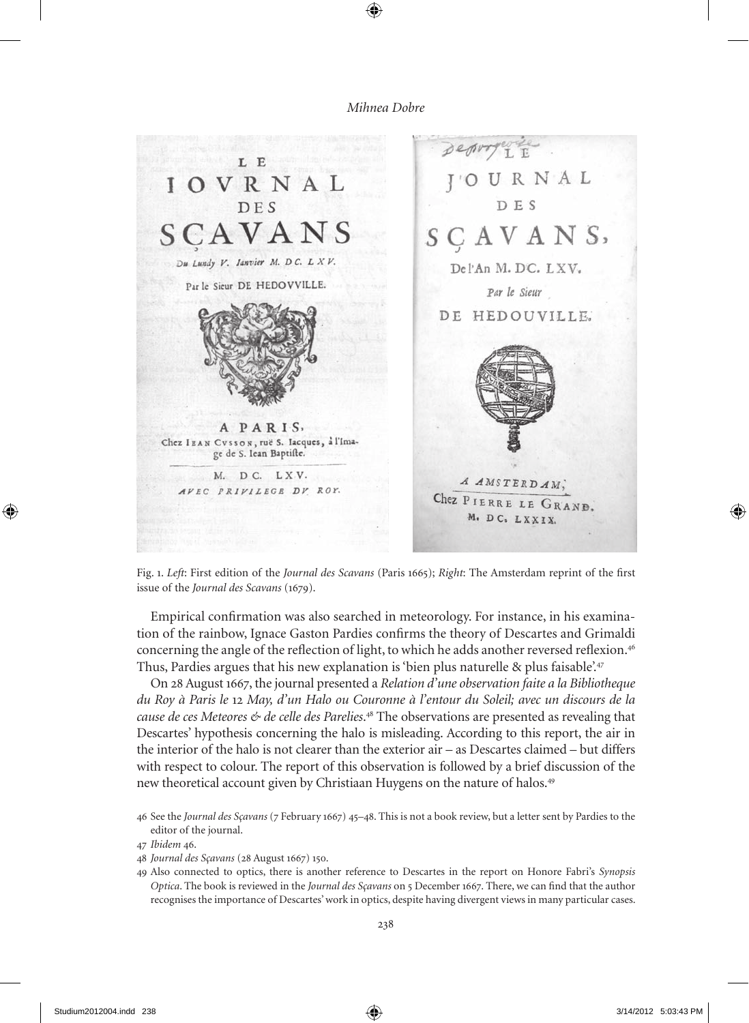

Fig. 1. *Left*: First edition of the *Journal des Scavans* (Paris 1665); *Right*: The Amsterdam reprint of the first issue of the *Journal des Scavans* (1679).

Empirical confirmation was also searched in meteorology. For instance, in his examination of the rainbow, Ignace Gaston Pardies confirms the theory of Descartes and Grimaldi concerning the angle of the reflection of light, to which he adds another reversed reflexion.<sup>46</sup> Thus, Pardies argues that his new explanation is 'bien plus naturelle & plus faisable'.<sup>47</sup>

on 28 August 1667, the journal presented a *Relation d'une observation faite a la Bibliotheque du Roy à Paris le* 12 *May, d'un Halo ou Couronne à l'entour du Soleil; avec un discours de la cause de ces Meteores & de celle des Parelies*. <sup>48</sup> The observations are presented as revealing that Descartes' hypothesis concerning the halo is misleading. According to this report, the air in the interior of the halo is not clearer than the exterior air – as Descartes claimed – but differs with respect to colour. The report of this observation is followed by a brief discussion of the new theoretical account given by Christiaan Huygens on the nature of halos.<sup>49</sup>

49 Also connected to optics, there is another reference to Descartes in the report on Honore Fabri's *Synopsis Optica*. The book is reviewed in the *Journal des Sçavans* on 5 December 1667. There, we can find that the author recognises the importance of Descartes' work in optics, despite having divergent views in many particular cases.

<sup>46</sup> See the *Journal des Sçavans* (7 February 1667) 45–48. This is not a book review, but a letter sent by Pardies to the editor of the journal.

<sup>47</sup> *Ibidem* 46.

<sup>48</sup> *Journal des Sçavans* (28 August 1667) 150.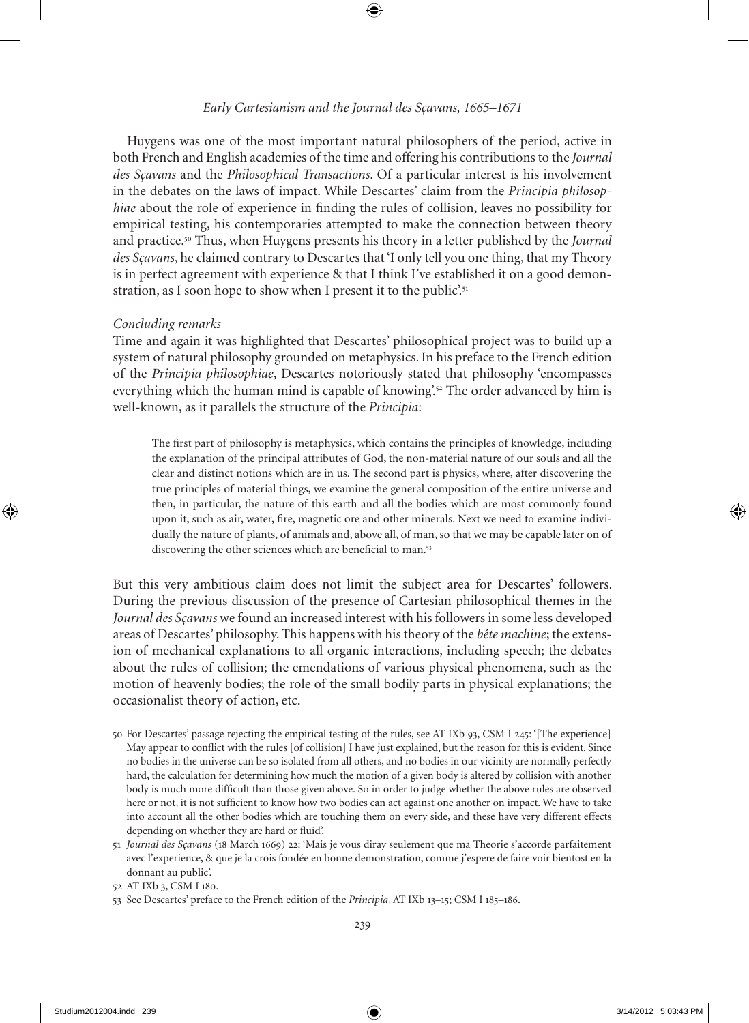## *Early Cartesianism and the Journal des Sçavans, 1665–1671*

Huygens was one of the most important natural philosophers of the period, active in both French and English academies of the time and offering his contributions to the *Journal des Sçavans* and the *Philosophical Transactions*. of a particular interest is his involvement in the debates on the laws of impact. While Descartes' claim from the *Principia philosophiae* about the role of experience in finding the rules of collision, leaves no possibility for empirical testing, his contemporaries attempted to make the connection between theory and practice.<sup>50</sup> Thus, when Huygens presents his theory in a letter published by the *Journal des Sçavans*, he claimed contrary to Descartes that 'I only tell you one thing, that my Theory is in perfect agreement with experience & that I think I've established it on a good demonstration, as I soon hope to show when I present it to the public'.<sup>51</sup>

#### *Concluding remarks*

Time and again it was highlighted that Descartes' philosophical project was to build up a system of natural philosophy grounded on metaphysics. In his preface to the French edition of the *Principia philosophiae*, Descartes notoriously stated that philosophy 'encompasses everything which the human mind is capable of knowing'.<sup>52</sup> The order advanced by him is well-known, as it parallels the structure of the *Principia*:

The first part of philosophy is metaphysics, which contains the principles of knowledge, including the explanation of the principal attributes of God, the non-material nature of our souls and all the clear and distinct notions which are in us. The second part is physics, where, after discovering the true principles of material things, we examine the general composition of the entire universe and then, in particular, the nature of this earth and all the bodies which are most commonly found upon it, such as air, water, fire, magnetic ore and other minerals. Next we need to examine individually the nature of plants, of animals and, above all, of man, so that we may be capable later on of discovering the other sciences which are beneficial to man.<sup>53</sup>

But this very ambitious claim does not limit the subject area for Descartes' followers. During the previous discussion of the presence of Cartesian philosophical themes in the *Journal des Sçavans* we found an increased interest with his followers in some less developed areas of Descartes' philosophy. This happens with his theory of the *bête machine*; the extension of mechanical explanations to all organic interactions, including speech; the debates about the rules of collision; the emendations of various physical phenomena, such as the motion of heavenly bodies; the role of the small bodily parts in physical explanations; the occasionalist theory of action, etc.

- 50 For Descartes' passage rejecting the empirical testing of the rules, see AT IXb 93, CSM I 245: '[The experience] May appear to conflict with the rules [of collision] I have just explained, but the reason for this is evident. Since no bodies in the universe can be so isolated from all others, and no bodies in our vicinity are normally perfectly hard, the calculation for determining how much the motion of a given body is altered by collision with another body is much more difficult than those given above. So in order to judge whether the above rules are observed here or not, it is not sufficient to know how two bodies can act against one another on impact. We have to take into account all the other bodies which are touching them on every side, and these have very different effects depending on whether they are hard or fluid'.
- 51 *Journal des Sçavans* (18 March 1669) 22: 'Mais je vous diray seulement que ma Theorie s'accorde parfaitement avec l'experience, & que je la crois fondée en bonne demonstration, comme j'espere de faire voir bientost en la donnant au public'.
- 52 AT IXb 3, CSM I 180.
- 53 See Descartes' preface to the French edition of the *Principia*, AT IXb 13–15; CSM I 185–186.